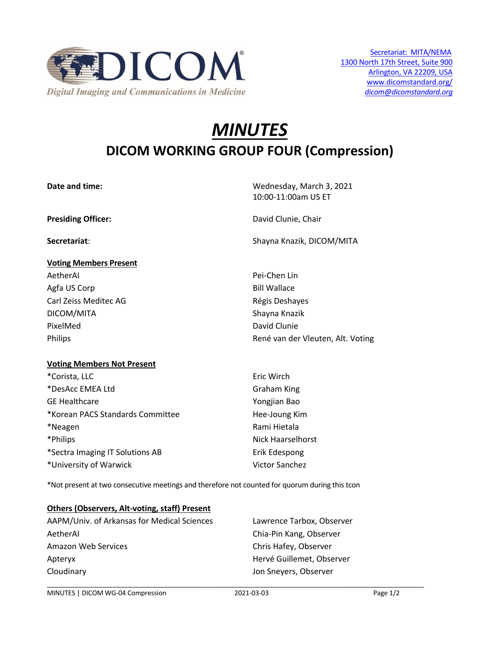

# *MINUTES* **DICOM WORKING GROUP FOUR (Compression)**

| Date and time:                    | Wednesday, March 3, 2021          |
|-----------------------------------|-----------------------------------|
|                                   | 10:00-11:00am US ET               |
| <b>Presiding Officer:</b>         | David Clunie, Chair               |
| Secretariat:                      | Shayna Knazik, DICOM/MITA         |
| <b>Voting Members Present</b>     |                                   |
| AetherAl                          | Pei-Chen Lin                      |
| Agfa US Corp                      | <b>Bill Wallace</b>               |
| Carl Zeiss Meditec AG             | Régis Deshayes                    |
| DICOM/MITA                        | Shayna Knazik                     |
| PixelMed                          | David Clunie                      |
| Philips                           | René van der Vleuten, Alt. Voting |
| <b>Voting Members Not Present</b> |                                   |
| *Corista, LLC                     | Eric Wirch                        |
| *DesAcc EMEA Ltd                  | <b>Graham King</b>                |
| <b>GE Healthcare</b>              | Yongjian Bao                      |
| *Korean PACS Standards Committee  | Hee-Joung Kim                     |
| *Neagen                           | Rami Hietala                      |
| *Philips                          | <b>Nick Haarselhorst</b>          |
| *Sectra Imaging IT Solutions AB   | Erik Edespong                     |
| *University of Warwick            | <b>Victor Sanchez</b>             |

\*Not present at two consecutive meetings and therefore not counted for quorum during this tcon

## **Others (Observers, Alt-voting, staff) Present**

AAPM/Univ. of Arkansas for Medical Sciences Lawrence Tarbox, Observer AetherAI Chia-Pin Kang, Observer Amazon Web Services **Chris Hafey**, Observer Apteryx **Apteryx** Hervé Guillemet, Observer Cloudinary Jon Sneyers, Observer